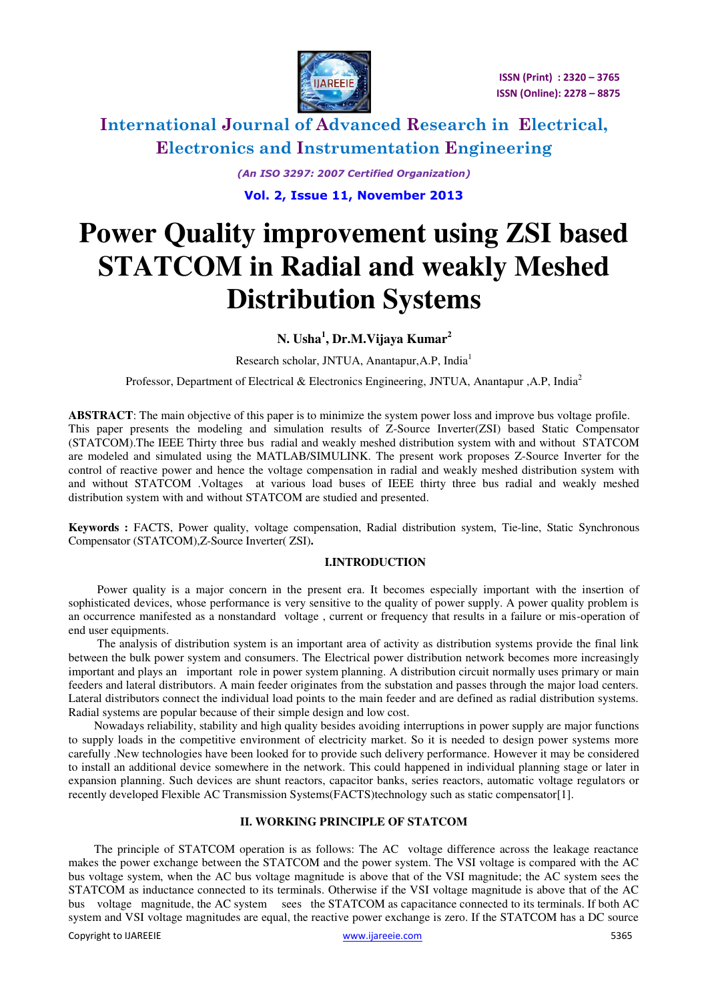

> *(An ISO 3297: 2007 Certified Organization)*  **Vol. 2, Issue 11, November 2013**

# **Power Quality improvement using ZSI based STATCOM in Radial and weakly Meshed Distribution Systems**

**N. Usha<sup>1</sup> , Dr.M.Vijaya Kumar<sup>2</sup>** 

Research scholar, JNTUA, Anantapur,A.P, India<sup>1</sup>

Professor, Department of Electrical & Electronics Engineering, JNTUA, Anantapur ,A.P, India<sup>2</sup>

**ABSTRACT**: The main objective of this paper is to minimize the system power loss and improve bus voltage profile. This paper presents the modeling and simulation results of Z-Source Inverter(ZSI) based Static Compensator (STATCOM).The IEEE Thirty three bus radial and weakly meshed distribution system with and without STATCOM are modeled and simulated using the MATLAB/SIMULINK. The present work proposes Z-Source Inverter for the control of reactive power and hence the voltage compensation in radial and weakly meshed distribution system with and without STATCOM .Voltages at various load buses of IEEE thirty three bus radial and weakly meshed distribution system with and without STATCOM are studied and presented.

**Keywords :** FACTS, Power quality, voltage compensation, Radial distribution system, Tie-line, Static Synchronous Compensator (STATCOM),Z-Source Inverter( ZSI)**.** 

#### **I.INTRODUCTION**

 Power quality is a major concern in the present era. It becomes especially important with the insertion of sophisticated devices, whose performance is very sensitive to the quality of power supply. A power quality problem is an occurrence manifested as a nonstandard voltage , current or frequency that results in a failure or mis-operation of end user equipments.

 The analysis of distribution system is an important area of activity as distribution systems provide the final link between the bulk power system and consumers. The Electrical power distribution network becomes more increasingly important and plays an important role in power system planning. A distribution circuit normally uses primary or main feeders and lateral distributors. A main feeder originates from the substation and passes through the major load centers. Lateral distributors connect the individual load points to the main feeder and are defined as radial distribution systems. Radial systems are popular because of their simple design and low cost.

Nowadays reliability, stability and high quality besides avoiding interruptions in power supply are major functions to supply loads in the competitive environment of electricity market. So it is needed to design power systems more carefully .New technologies have been looked for to provide such delivery performance. However it may be considered to install an additional device somewhere in the network. This could happened in individual planning stage or later in expansion planning. Such devices are shunt reactors, capacitor banks, series reactors, automatic voltage regulators or recently developed Flexible AC Transmission Systems(FACTS)technology such as static compensator[1].

#### **II. WORKING PRINCIPLE OF STATCOM**

The principle of STATCOM operation is as follows: The AC voltage difference across the leakage reactance makes the power exchange between the STATCOM and the power system. The VSI voltage is compared with the AC bus voltage system, when the AC bus voltage magnitude is above that of the VSI magnitude; the AC system sees the STATCOM as inductance connected to its terminals. Otherwise if the VSI voltage magnitude is above that of the AC bus voltage magnitude, the AC system sees the STATCOM as capacitance connected to its terminals. If both AC system and VSI voltage magnitudes are equal, the reactive power exchange is zero. If the STATCOM has a DC source

Copyright to IJAREEIE Service Communication of the Copyright to IJAREEIE STAGE STAGE STAGE STAGE STAGE STAGE STAGE STAGE STAGE STAGE STAGE STAGE STAGE STAGE STAGE STAGE STAGE STAGE STAGE STAGE STAGE STAGE STAGE STAGE STAGE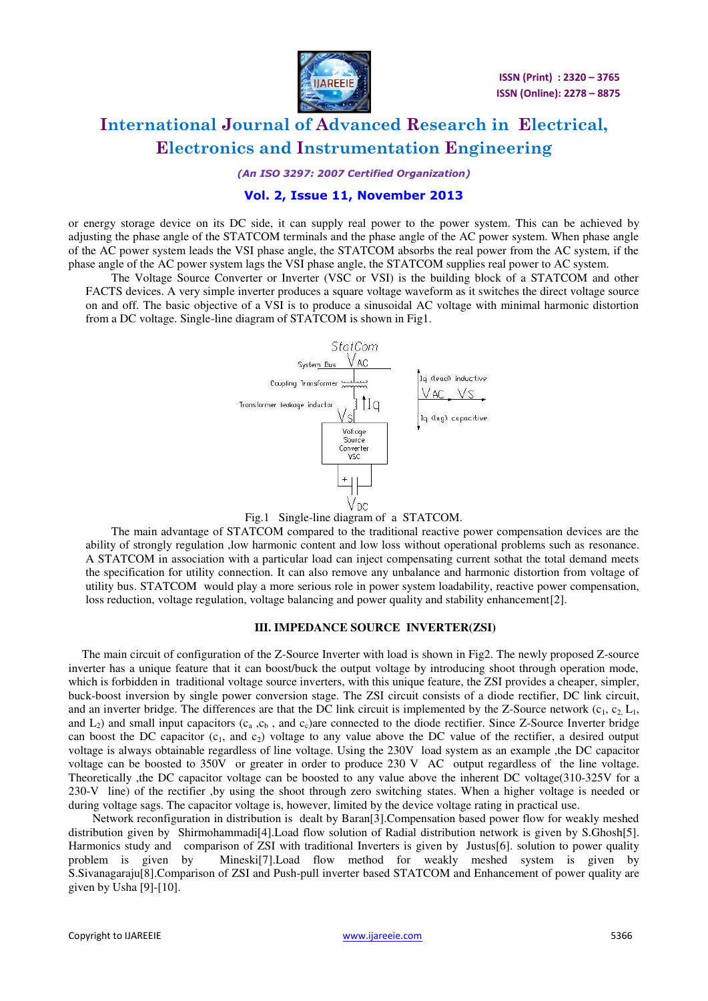

*(An ISO 3297: 2007 Certified Organization)* 

### **Vol. 2, Issue 11, November 2013**

or energy storage device on its DC side, it can supply real power to the power system. This can be achieved by adjusting the phase angle of the STATCOM terminals and the phase angle of the AC power system. When phase angle of the AC power system leads the VSI phase angle, the STATCOM absorbs the real power from the AC system, if the phase angle of the AC power system lags the VSI phase angle, the STATCOM supplies real power to AC system.

The Voltage Source Converter or Inverter (VSC or VSI) is the building block of a STATCOM and other FACTS devices. A very simple inverter produces a square voltage waveform as it switches the direct voltage source on and off. The basic objective of a VSI is to produce a sinusoidal AC voltage with minimal harmonic distortion from a DC voltage. Single-line diagram of STATCOM is shown in Fig1.



Fig.1 Single-line diagram of a STATCOM.

The main advantage of STATCOM compared to the traditional reactive power compensation devices are the ability of strongly regulation ,low harmonic content and low loss without operational problems such as resonance. A STATCOM in association with a particular load can inject compensating current sothat the total demand meets the specification for utility connection. It can also remove any unbalance and harmonic distortion from voltage of utility bus. STATCOM would play a more serious role in power system loadability, reactive power compensation, loss reduction, voltage regulation, voltage balancing and power quality and stability enhancement[2].

#### **III. IMPEDANCE SOURCE INVERTER(ZSI)**

 The main circuit of configuration of the Z-Source Inverter with load is shown in Fig2. The newly proposed Z-source inverter has a unique feature that it can boost/buck the output voltage by introducing shoot through operation mode, which is forbidden in traditional voltage source inverters, with this unique feature, the ZSI provides a cheaper, simpler, buck-boost inversion by single power conversion stage. The ZSI circuit consists of a diode rectifier, DC link circuit, and an inverter bridge. The differences are that the DC link circuit is implemented by the Z-Source network  $(c_1, c_2, L_1)$ , and  $L_2$ ) and small input capacitors ( $c_a$ ,  $c_b$ , and  $c_c$ )are connected to the diode rectifier. Since Z-Source Inverter bridge can boost the DC capacitor  $(c_1, \text{ and } c_2)$  voltage to any value above the DC value of the rectifier, a desired output voltage is always obtainable regardless of line voltage. Using the 230V load system as an example ,the DC capacitor voltage can be boosted to 350V or greater in order to produce 230 V AC output regardless of the line voltage. Theoretically ,the DC capacitor voltage can be boosted to any value above the inherent DC voltage(310-325V for a 230-V line) of the rectifier ,by using the shoot through zero switching states. When a higher voltage is needed or during voltage sags. The capacitor voltage is, however, limited by the device voltage rating in practical use.

 Network reconfiguration in distribution is dealt by Baran[3].Compensation based power flow for weakly meshed distribution given by Shirmohammadi<sup>[4]</sup>.Load flow solution of Radial distribution network is given by S.Ghosh<sup>[5]</sup>. Harmonics study and comparison of ZSI with traditional Inverters is given by Justus[6]. solution to power quality problem is given by Mineski[7].Load flow method for weakly meshed system is given by S.Sivanagaraju[8].Comparison of ZSI and Push-pull inverter based STATCOM and Enhancement of power quality are given by Usha [9]-[10].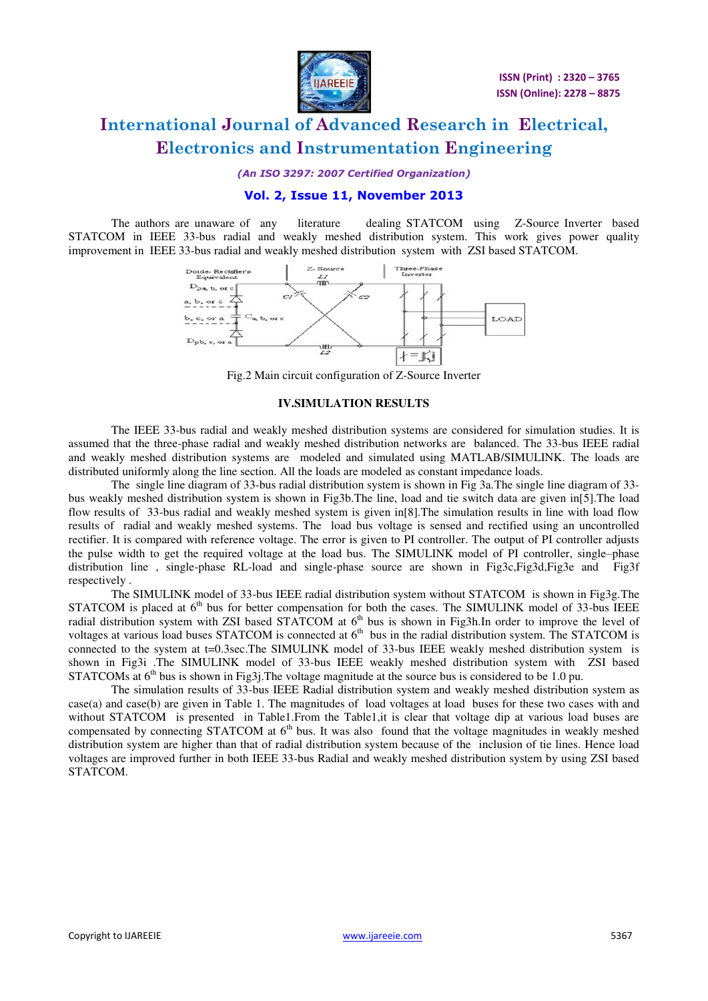

*(An ISO 3297: 2007 Certified Organization)* 

### **Vol. 2, Issue 11, November 2013**

The authors are unaware of any literature dealing STATCOM using Z-Source Inverter based STATCOM in IEEE 33-bus radial and weakly meshed distribution system. This work gives power quality improvement in IEEE 33-bus radial and weakly meshed distribution system with ZSI based STATCOM.



Fig.2 Main circuit configuration of Z-Source Inverter

#### **IV.SIMULATION RESULTS**

 The IEEE 33-bus radial and weakly meshed distribution systems are considered for simulation studies. It is assumed that the three-phase radial and weakly meshed distribution networks are balanced. The 33-bus IEEE radial and weakly meshed distribution systems are modeled and simulated using MATLAB/SIMULINK. The loads are distributed uniformly along the line section. All the loads are modeled as constant impedance loads.

The single line diagram of 33-bus radial distribution system is shown in Fig 3a.The single line diagram of 33 bus weakly meshed distribution system is shown in Fig3b.The line, load and tie switch data are given in[5].The load flow results of 33-bus radial and weakly meshed system is given in[8].The simulation results in line with load flow results of radial and weakly meshed systems. The load bus voltage is sensed and rectified using an uncontrolled rectifier. It is compared with reference voltage. The error is given to PI controller. The output of PI controller adjusts the pulse width to get the required voltage at the load bus. The SIMULINK model of PI controller, single–phase distribution line , single-phase RL-load and single-phase source are shown in Fig3c,Fig3d,Fig3e and Fig3f respectively .

The SIMULINK model of 33-bus IEEE radial distribution system without STATCOM is shown in Fig3g.The STATCOM is placed at 6<sup>th</sup> bus for better compensation for both the cases. The SIMULINK model of 33-bus IEEE radial distribution system with ZSI based STATCOM at  $6<sup>th</sup>$  bus is shown in Fig3h.In order to improve the level of voltages at various load buses STATCOM is connected at  $6<sup>th</sup>$  bus in the radial distribution system. The STATCOM is connected to the system at t=0.3sec.The SIMULINK model of 33-bus IEEE weakly meshed distribution system is shown in Fig3i .The SIMULINK model of 33-bus IEEE weakly meshed distribution system with ZSI based STATCOMs at  $6<sup>th</sup>$  bus is shown in Fig3j. The voltage magnitude at the source bus is considered to be 1.0 pu.

The simulation results of 33-bus IEEE Radial distribution system and weakly meshed distribution system as case(a) and case(b) are given in Table 1. The magnitudes of load voltages at load buses for these two cases with and without STATCOM is presented in Table1. From the Table1, it is clear that voltage dip at various load buses are compensated by connecting STATCOM at  $6<sup>th</sup>$  bus. It was also found that the voltage magnitudes in weakly meshed distribution system are higher than that of radial distribution system because of the inclusion of tie lines. Hence load voltages are improved further in both IEEE 33-bus Radial and weakly meshed distribution system by using ZSI based STATCOM.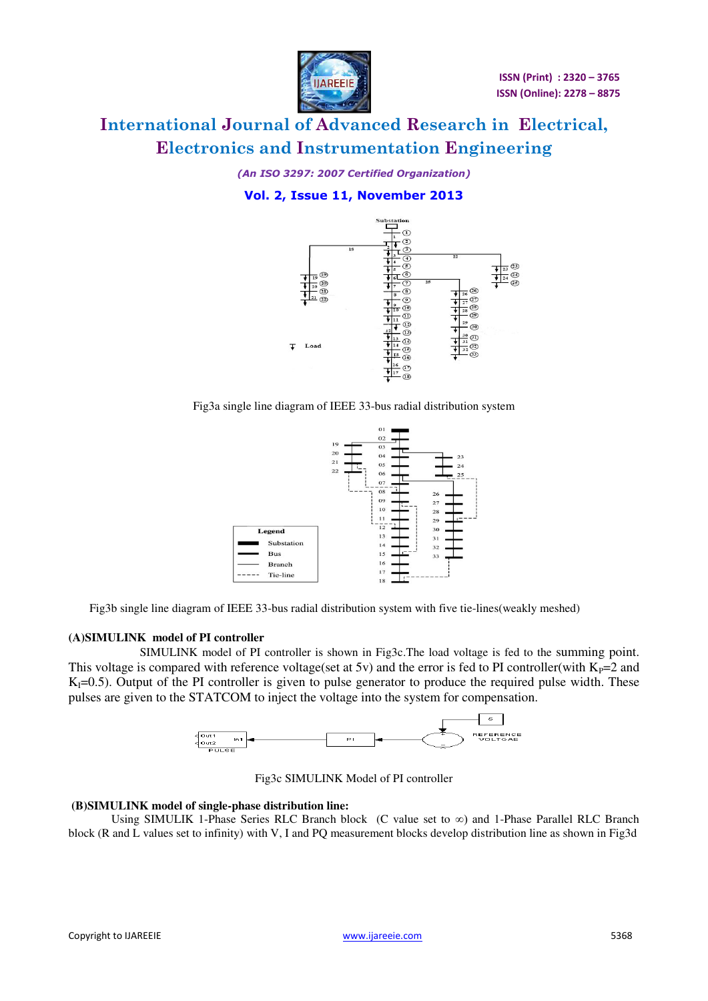

*(An ISO 3297: 2007 Certified Organization)* 

### **Vol. 2, Issue 11, November 2013**



Fig3a single line diagram of IEEE 33-bus radial distribution system



Fig3b single line diagram of IEEE 33-bus radial distribution system with five tie-lines(weakly meshed)

### **(A)SIMULINK model of PI controller**

SIMULINK model of PI controller is shown in Fig3c.The load voltage is fed to the summing point. This voltage is compared with reference voltage(set at 5v) and the error is fed to PI controller(with  $K_{P}=2$  and  $K<sub>1</sub>=0.5$ ). Output of the PI controller is given to pulse generator to produce the required pulse width. These pulses are given to the STATCOM to inject the voltage into the system for compensation.



Fig3c SIMULINK Model of PI controller

### **(B)SIMULINK model of single-phase distribution line:**

Using SIMULIK 1-Phase Series RLC Branch block (C value set to ∞) and 1-Phase Parallel RLC Branch block (R and L values set to infinity) with V, I and PQ measurement blocks develop distribution line as shown in Fig3d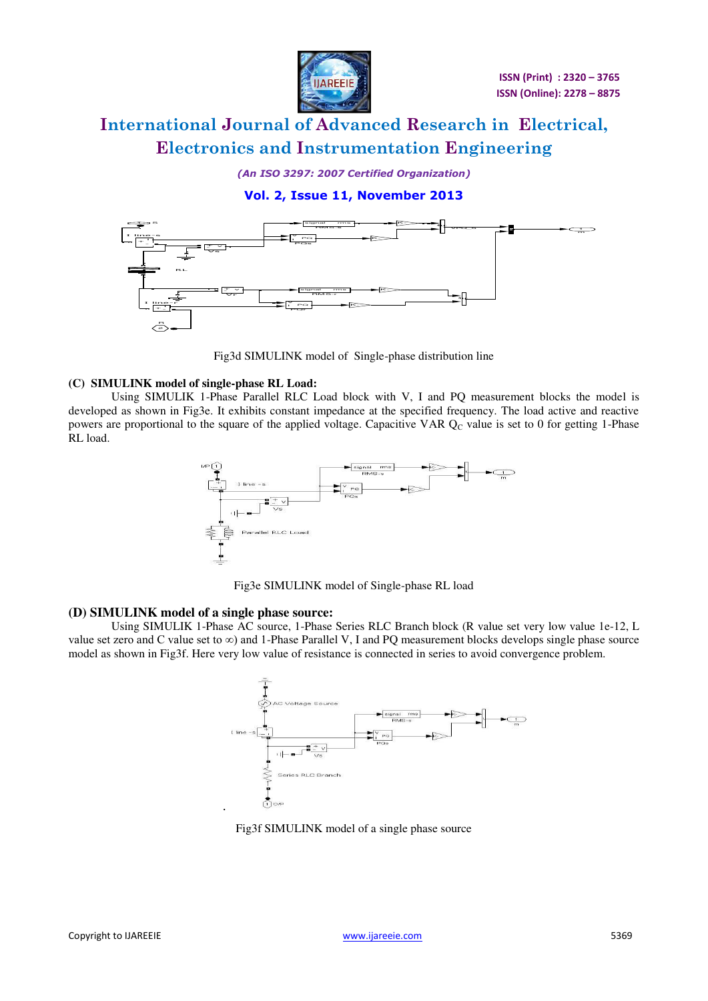

*(An ISO 3297: 2007 Certified Organization)* 

### **Vol. 2, Issue 11, November 2013**



Fig3d SIMULINK model of Single-phase distribution line

### **(C) SIMULINK model of single-phase RL Load:**

Using SIMULIK 1-Phase Parallel RLC Load block with V, I and PQ measurement blocks the model is developed as shown in Fig3e. It exhibits constant impedance at the specified frequency. The load active and reactive powers are proportional to the square of the applied voltage. Capacitive VAR  $Q<sub>C</sub>$  value is set to 0 for getting 1-Phase RL load.



Fig3e SIMULINK model of Single-phase RL load

### **(D) SIMULINK model of a single phase source:**

Using SIMULIK 1-Phase AC source, 1-Phase Series RLC Branch block (R value set very low value 1e-12, L value set zero and C value set to  $\infty$ ) and 1-Phase Parallel V, I and PQ measurement blocks develops single phase source model as shown in Fig3f. Here very low value of resistance is connected in series to avoid convergence problem.



Fig3f SIMULINK model of a single phase source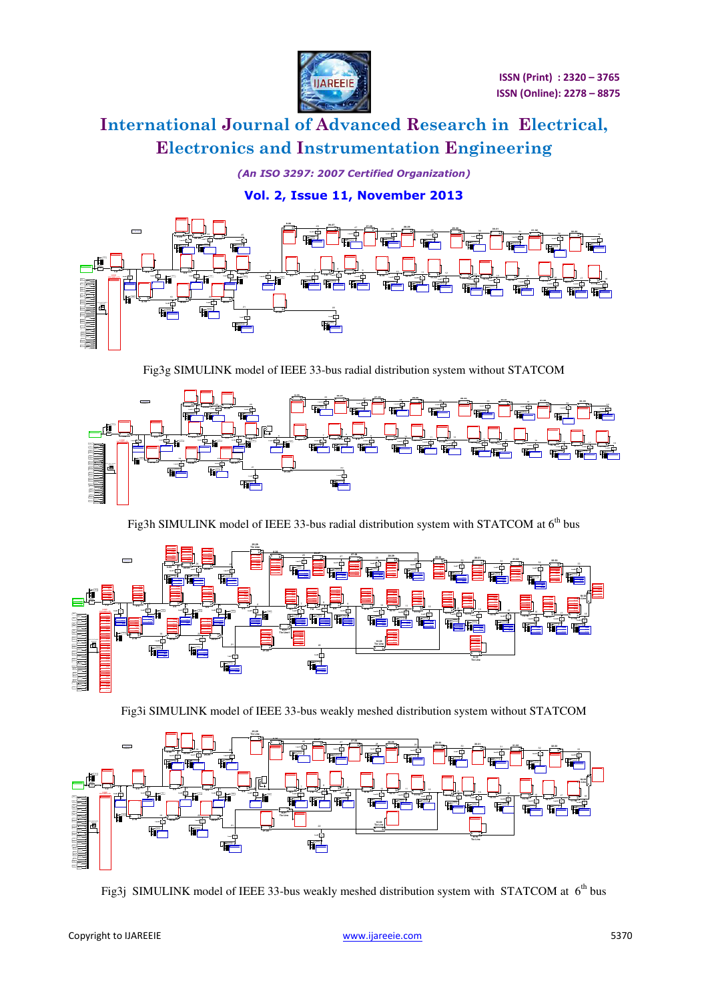

*(An ISO 3297: 2007 Certified Organization)* 

**Vol. 2, Issue 11, November 2013**



Fig3g SIMULINK model of IEEE 33-bus radial distribution system without STATCOM



Fig3h SIMULINK model of IEEE 33-bus radial distribution system with STATCOM at  $6<sup>th</sup>$  bus



Fig3i SIMULINK model of IEEE 33-bus weakly meshed distribution system without STATCOM



Fig3j SIMULINK model of IEEE 33-bus weakly meshed distribution system with STATCOM at  $6<sup>th</sup>$  bus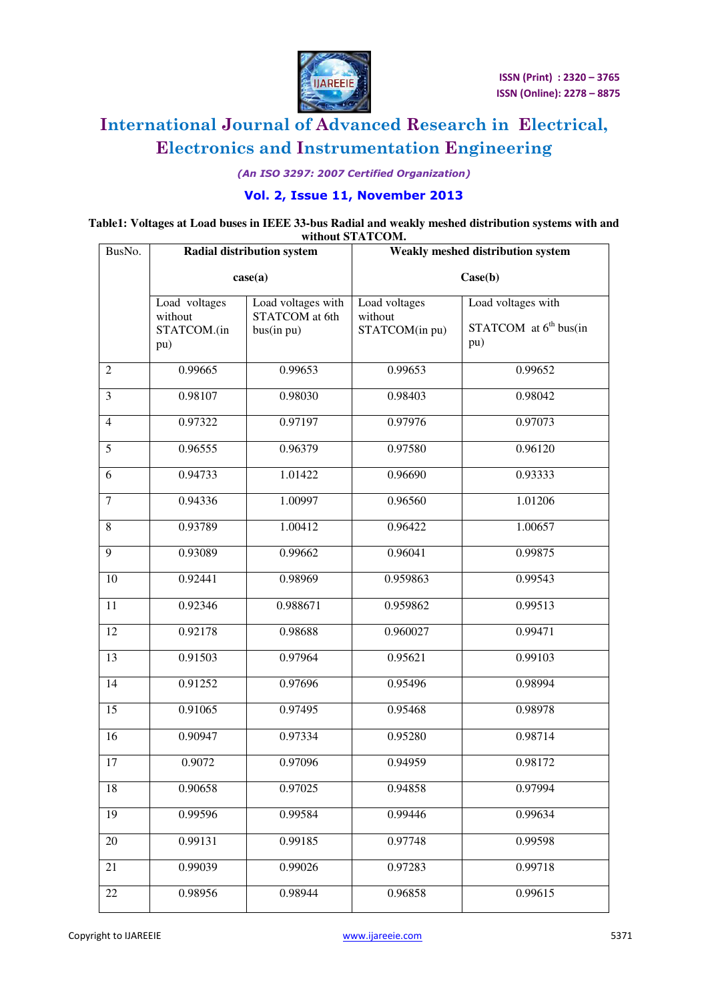

*(An ISO 3297: 2007 Certified Organization)* 

### **Vol. 2, Issue 11, November 2013**

#### **Table1: Voltages at Load buses in IEEE 33-bus Radial and weakly meshed distribution systems with and without STATCOM.**

| BusNo.         | Radial distribution system<br>case(a)          |                                                    | Weakly meshed distribution system<br>Case(b) |                                                       |
|----------------|------------------------------------------------|----------------------------------------------------|----------------------------------------------|-------------------------------------------------------|
|                |                                                |                                                    |                                              |                                                       |
|                | Load voltages<br>without<br>STATCOM.(in<br>pu) | Load voltages with<br>STATCOM at 6th<br>bus(in pu) | Load voltages<br>without<br>STATCOM(in pu)   | Load voltages with<br>STATCOM at $6th bus(in)$<br>pu) |
| $\mathfrak{2}$ | 0.99665                                        | 0.99653                                            | 0.99653                                      | 0.99652                                               |
| 3              | 0.98107                                        | 0.98030                                            | 0.98403                                      | 0.98042                                               |
| $\overline{4}$ | 0.97322                                        | 0.97197                                            | 0.97976                                      | 0.97073                                               |
| 5              | 0.96555                                        | 0.96379                                            | 0.97580                                      | 0.96120                                               |
| 6              | 0.94733                                        | 1.01422                                            | 0.96690                                      | 0.93333                                               |
| $\tau$         | 0.94336                                        | 1.00997                                            | 0.96560                                      | 1.01206                                               |
| 8              | 0.93789                                        | 1.00412                                            | 0.96422                                      | 1.00657                                               |
| 9              | 0.93089                                        | 0.99662                                            | 0.96041                                      | 0.99875                                               |
| 10             | 0.92441                                        | 0.98969                                            | 0.959863                                     | 0.99543                                               |
| 11             | 0.92346                                        | 0.988671                                           | 0.959862                                     | 0.99513                                               |
| 12             | 0.92178                                        | 0.98688                                            | 0.960027                                     | 0.99471                                               |
| 13             | 0.91503                                        | 0.97964                                            | 0.95621                                      | 0.99103                                               |
| 14             | 0.91252                                        | 0.97696                                            | 0.95496                                      | 0.98994                                               |
| 15             | 0.91065                                        | 0.97495                                            | 0.95468                                      | 0.98978                                               |
| 16             | 0.90947                                        | 0.97334                                            | 0.95280                                      | 0.98714                                               |
| 17             | 0.9072                                         | 0.97096                                            | 0.94959                                      | 0.98172                                               |
| 18             | 0.90658                                        | 0.97025                                            | 0.94858                                      | 0.97994                                               |
| 19             | 0.99596                                        | 0.99584                                            | 0.99446                                      | 0.99634                                               |
| 20             | 0.99131                                        | 0.99185                                            | 0.97748                                      | 0.99598                                               |
| 21             | 0.99039                                        | 0.99026                                            | 0.97283                                      | 0.99718                                               |
| 22             | 0.98956                                        | 0.98944                                            | 0.96858                                      | 0.99615                                               |